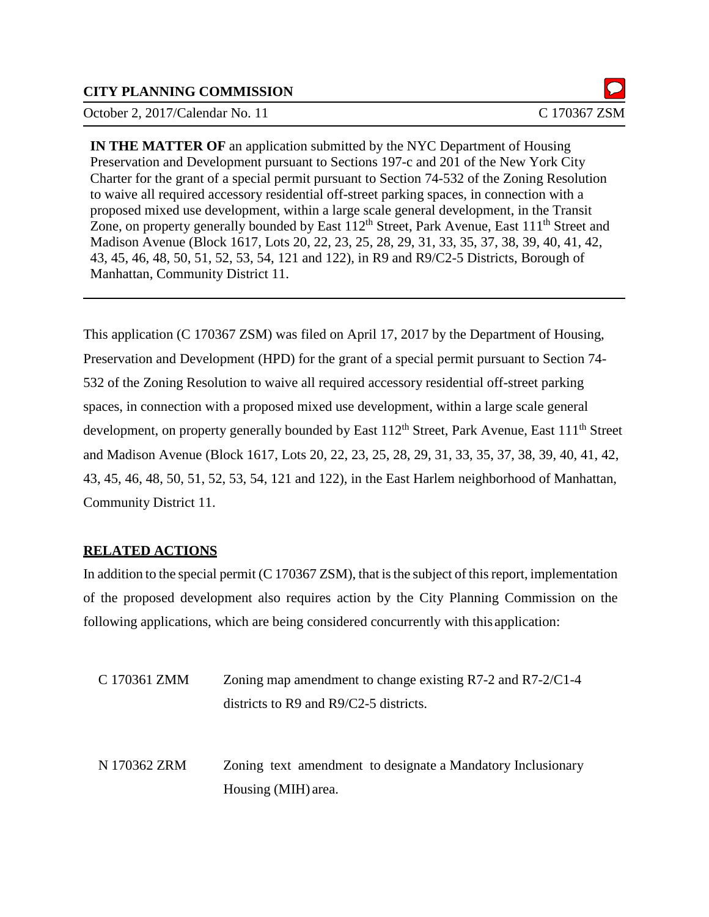#### **CITY PLANNING COMMISSION**

October 2, 2017/Calendar No. 11 C 170367 ZSM

**IN THE MATTER OF** an application submitted by the NYC Department of Housing Preservation and Development pursuant to Sections 197-c and 201 of the New York City Charter for the grant of a special permit pursuant to Section 74-532 of the Zoning Resolution to waive all required accessory residential off-street parking spaces, in connection with a proposed mixed use development, within a large scale general development, in the Transit Zone, on property generally bounded by East  $112<sup>th</sup>$  Street, Park Avenue, East  $111<sup>th</sup>$  Street and Madison Avenue (Block 1617, Lots 20, 22, 23, 25, 28, 29, 31, 33, 35, 37, 38, 39, 40, 41, 42, 43, 45, 46, 48, 50, 51, 52, 53, 54, 121 and 122), in R9 and R9/C2-5 Districts, Borough of Manhattan, Community District 11.

This application (C 170367 ZSM) was filed on April 17, 2017 by the Department of Housing, Preservation and Development (HPD) for the grant of a special permit pursuant to Section 74- 532 of the Zoning Resolution to waive all required accessory residential off-street parking spaces, in connection with a proposed mixed use development, within a large scale general development, on property generally bounded by East 112<sup>th</sup> Street, Park Avenue, East 111<sup>th</sup> Street and Madison Avenue (Block 1617, Lots 20, 22, 23, 25, 28, 29, 31, 33, 35, 37, 38, 39, 40, 41, 42, 43, 45, 46, 48, 50, 51, 52, 53, 54, 121 and 122), in the East Harlem neighborhood of Manhattan, Community District 11.

#### **RELATED ACTIONS**

In addition to the special permit  $(C 170367 ZSM)$ , that is the subject of this report, implementation of the proposed development also requires action by the City Planning Commission on the following applications, which are being considered concurrently with this application:

| C 170361 ZMM | Zoning map amendment to change existing $R7-2$ and $R7-2/C1-4$ |  |
|--------------|----------------------------------------------------------------|--|
|              | districts to R9 and $R9/C2-5$ districts.                       |  |
|              |                                                                |  |
|              |                                                                |  |
| N 170362 ZRM | Zoning text amendment to designate a Mandatory Inclusionary    |  |
|              | Housing (MIH) area.                                            |  |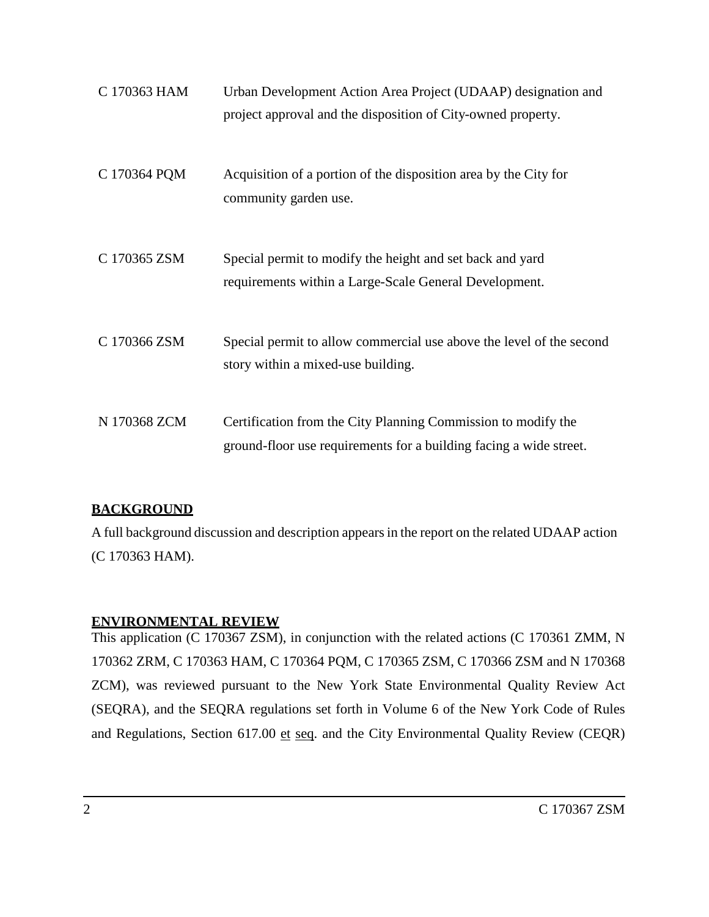| C 170363 HAM | Urban Development Action Area Project (UDAAP) designation and<br>project approval and the disposition of City-owned property.       |
|--------------|-------------------------------------------------------------------------------------------------------------------------------------|
| C 170364 PQM | Acquisition of a portion of the disposition area by the City for<br>community garden use.                                           |
| C 170365 ZSM | Special permit to modify the height and set back and yard<br>requirements within a Large-Scale General Development.                 |
| C 170366 ZSM | Special permit to allow commercial use above the level of the second<br>story within a mixed-use building.                          |
| N 170368 ZCM | Certification from the City Planning Commission to modify the<br>ground-floor use requirements for a building facing a wide street. |

## **BACKGROUND**

A full background discussion and description appears in the report on the related UDAAP action (C 170363 HAM).

## **ENVIRONMENTAL REVIEW**

This application (C 170367 ZSM), in conjunction with the related actions (C 170361 ZMM, N 170362 ZRM, C 170363 HAM, C 170364 PQM, C 170365 ZSM, C 170366 ZSM and N 170368 ZCM), was reviewed pursuant to the New York State Environmental Quality Review Act (SEQRA), and the SEQRA regulations set forth in Volume 6 of the New York Code of Rules and Regulations, Section 617.00 et seq. and the City Environmental Quality Review (CEQR)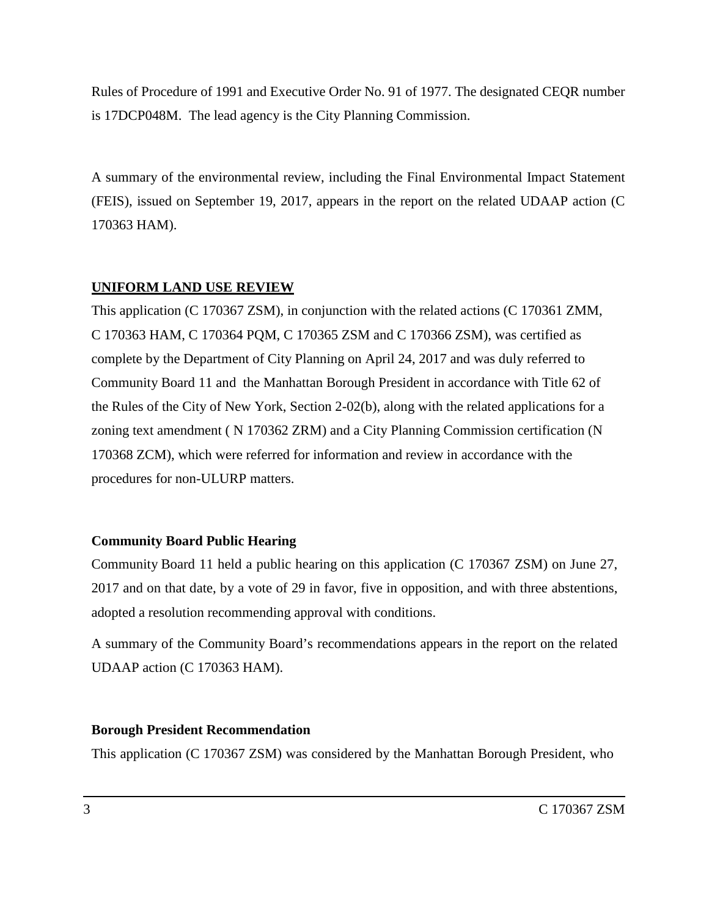Rules of Procedure of 1991 and Executive Order No. 91 of 1977. The designated CEQR number is 17DCP048M. The lead agency is the City Planning Commission.

A summary of the environmental review, including the Final Environmental Impact Statement (FEIS), issued on September 19, 2017, appears in the report on the related UDAAP action (C 170363 HAM).

#### **UNIFORM LAND USE REVIEW**

This application (C 170367 ZSM), in conjunction with the related actions (C 170361 ZMM, C 170363 HAM, C 170364 PQM, C 170365 ZSM and C 170366 ZSM), was certified as complete by the Department of City Planning on April 24, 2017 and was duly referred to Community Board 11 and the Manhattan Borough President in accordance with Title 62 of the Rules of the City of New York, Section 2-02(b), along with the related applications for a zoning text amendment ( N 170362 ZRM) and a City Planning Commission certification (N 170368 ZCM), which were referred for information and review in accordance with the procedures for non-ULURP matters.

#### **Community Board Public Hearing**

Community Board 11 held a public hearing on this application (C 170367 ZSM) on June 27, 2017 and on that date, by a vote of 29 in favor, five in opposition, and with three abstentions, adopted a resolution recommending approval with conditions.

A summary of the Community Board's recommendations appears in the report on the related UDAAP action (C 170363 HAM).

#### **Borough President Recommendation**

This application (C 170367 ZSM) was considered by the Manhattan Borough President, who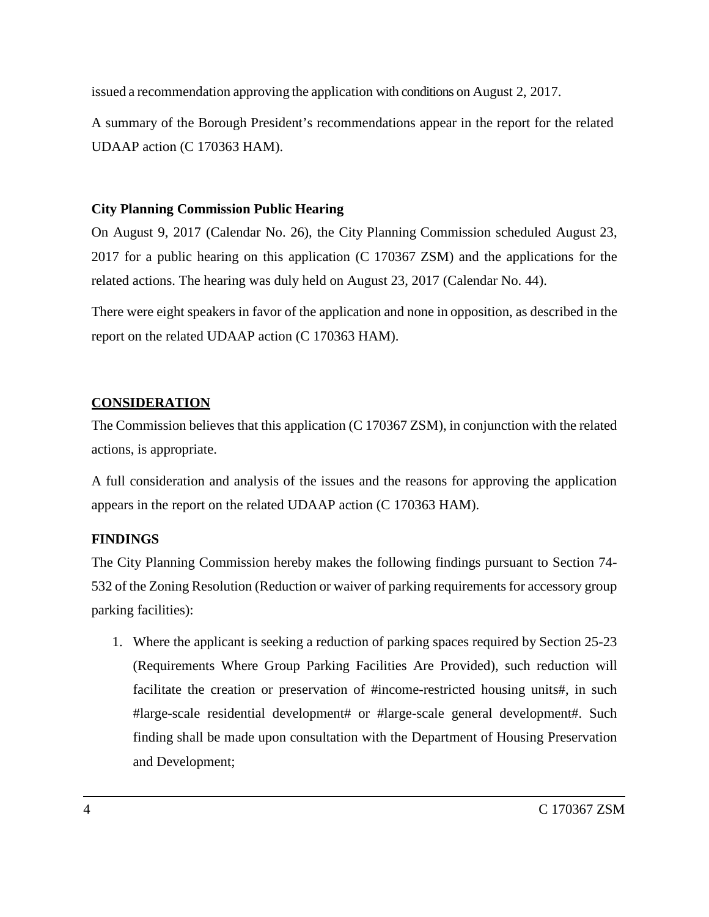issued a recommendation approving the application with conditions on August 2, 2017.

A summary of the Borough President's recommendations appear in the report for the related UDAAP action (C 170363 HAM).

## **City Planning Commission Public Hearing**

On August 9, 2017 (Calendar No. 26), the City Planning Commission scheduled August 23, 2017 for a public hearing on this application (C 170367 ZSM) and the applications for the related actions. The hearing was duly held on August 23, 2017 (Calendar No. 44).

There were eight speakers in favor of the application and none in opposition, as described in the report on the related UDAAP action (C 170363 HAM).

## **CONSIDERATION**

The Commission believes that this application (C 170367 ZSM), in conjunction with the related actions, is appropriate.

A full consideration and analysis of the issues and the reasons for approving the application appears in the report on the related UDAAP action (C 170363 HAM).

# **FINDINGS**

The City Planning Commission hereby makes the following findings pursuant to Section 74- 532 of the Zoning Resolution (Reduction or waiver of parking requirements for accessory group parking facilities):

1. Where the applicant is seeking a reduction of parking spaces required by Section 25-23 (Requirements Where Group Parking Facilities Are Provided), such reduction will facilitate the creation or preservation of #income-restricted housing units#, in such #large-scale residential development# or #large-scale general development#. Such finding shall be made upon consultation with the Department of Housing Preservation and Development;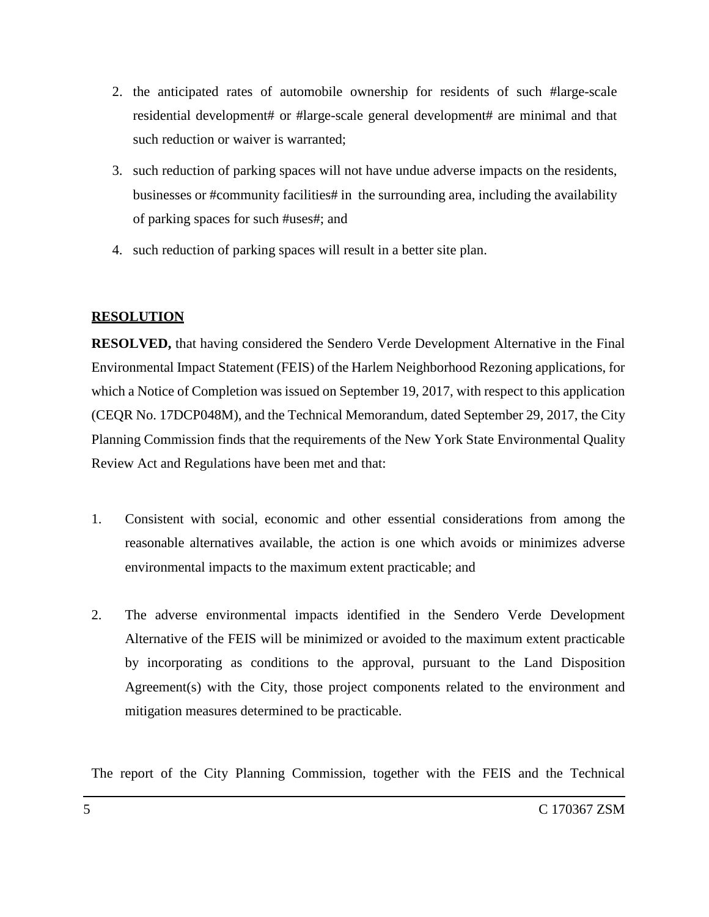- 2. the anticipated rates of automobile ownership for residents of such #large-scale residential development# or #large-scale general development# are minimal and that such reduction or waiver is warranted;
- 3. such reduction of parking spaces will not have undue adverse impacts on the residents, businesses or #community facilities# in the surrounding area, including the availability of parking spaces for such #uses#; and
- 4. such reduction of parking spaces will result in a better site plan.

#### **RESOLUTION**

**RESOLVED,** that having considered the Sendero Verde Development Alternative in the Final Environmental Impact Statement (FEIS) of the Harlem Neighborhood Rezoning applications, for which a Notice of Completion was issued on September 19, 2017, with respect to this application (CEQR No. 17DCP048M), and the Technical Memorandum, dated September 29, 2017, the City Planning Commission finds that the requirements of the New York State Environmental Quality Review Act and Regulations have been met and that:

- 1. Consistent with social, economic and other essential considerations from among the reasonable alternatives available, the action is one which avoids or minimizes adverse environmental impacts to the maximum extent practicable; and
- 2. The adverse environmental impacts identified in the Sendero Verde Development Alternative of the FEIS will be minimized or avoided to the maximum extent practicable by incorporating as conditions to the approval, pursuant to the Land Disposition Agreement(s) with the City, those project components related to the environment and mitigation measures determined to be practicable.

The report of the City Planning Commission, together with the FEIS and the Technical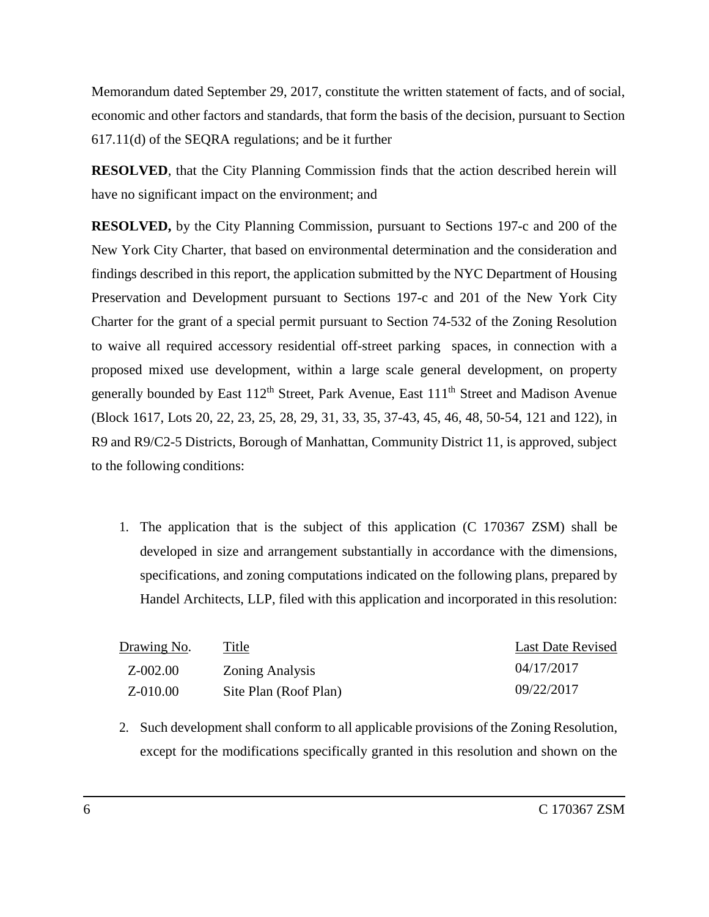Memorandum dated September 29, 2017, constitute the written statement of facts, and of social, economic and other factors and standards, that form the basis of the decision, pursuant to Section 617.11(d) of the SEQRA regulations; and be it further

**RESOLVED**, that the City Planning Commission finds that the action described herein will have no significant impact on the environment; and

**RESOLVED,** by the City Planning Commission, pursuant to Sections 197-c and 200 of the New York City Charter, that based on environmental determination and the consideration and findings described in this report, the application submitted by the NYC Department of Housing Preservation and Development pursuant to Sections 197-c and 201 of the New York City Charter for the grant of a special permit pursuant to Section 74-532 of the Zoning Resolution to waive all required accessory residential off-street parking spaces, in connection with a proposed mixed use development, within a large scale general development, on property generally bounded by East  $112<sup>th</sup>$  Street, Park Avenue, East  $111<sup>th</sup>$  Street and Madison Avenue (Block 1617, Lots 20, 22, 23, 25, 28, 29, 31, 33, 35, 37-43, 45, 46, 48, 50-54, 121 and 122), in R9 and R9/C2-5 Districts, Borough of Manhattan, Community District 11, is approved, subject to the following conditions:

1. The application that is the subject of this application (C 170367 ZSM) shall be developed in size and arrangement substantially in accordance with the dimensions, specifications, and zoning computations indicated on the following plans, prepared by Handel Architects, LLP, filed with this application and incorporated in this resolution:

| Drawing No. | Title                  | <b>Last Date Revised</b> |
|-------------|------------------------|--------------------------|
| Z-002.00    | <b>Zoning Analysis</b> | 04/17/2017               |
| Z-010.00    | Site Plan (Roof Plan)  | 09/22/2017               |

2. Such development shall conform to all applicable provisions of the Zoning Resolution, except for the modifications specifically granted in this resolution and shown on the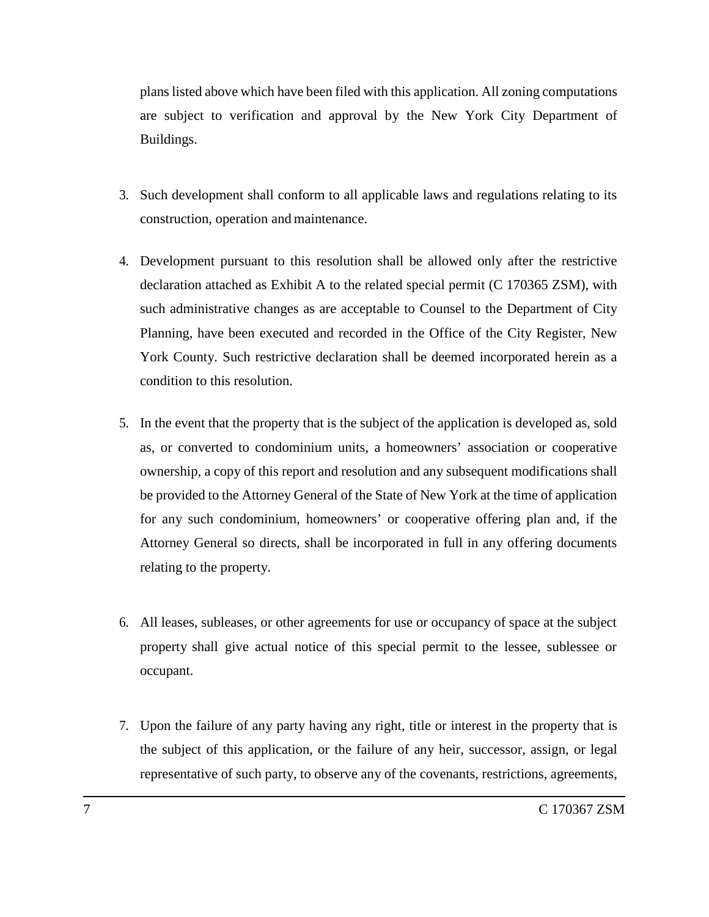plans listed above which have been filed with this application. All zoning computations are subject to verification and approval by the New York City Department of Buildings.

- 3. Such development shall conform to all applicable laws and regulations relating to its construction, operation and maintenance.
- 4. Development pursuant to this resolution shall be allowed only after the restrictive declaration attached as Exhibit A to the related special permit (C 170365 ZSM), with such administrative changes as are acceptable to Counsel to the Department of City Planning, have been executed and recorded in the Office of the City Register, New York County. Such restrictive declaration shall be deemed incorporated herein as a condition to this resolution.
- 5. In the event that the property that is the subject of the application is developed as, sold as, or converted to condominium units, a homeowners' association or cooperative ownership, a copy of this report and resolution and any subsequent modifications shall be provided to the Attorney General of the State of New York at the time of application for any such condominium, homeowners' or cooperative offering plan and, if the Attorney General so directs, shall be incorporated in full in any offering documents relating to the property.
- 6. All leases, subleases, or other agreements for use or occupancy of space at the subject property shall give actual notice of this special permit to the lessee, sublessee or occupant.
- 7. Upon the failure of any party having any right, title or interest in the property that is the subject of this application, or the failure of any heir, successor, assign, or legal representative of such party, to observe any of the covenants, restrictions, agreements,